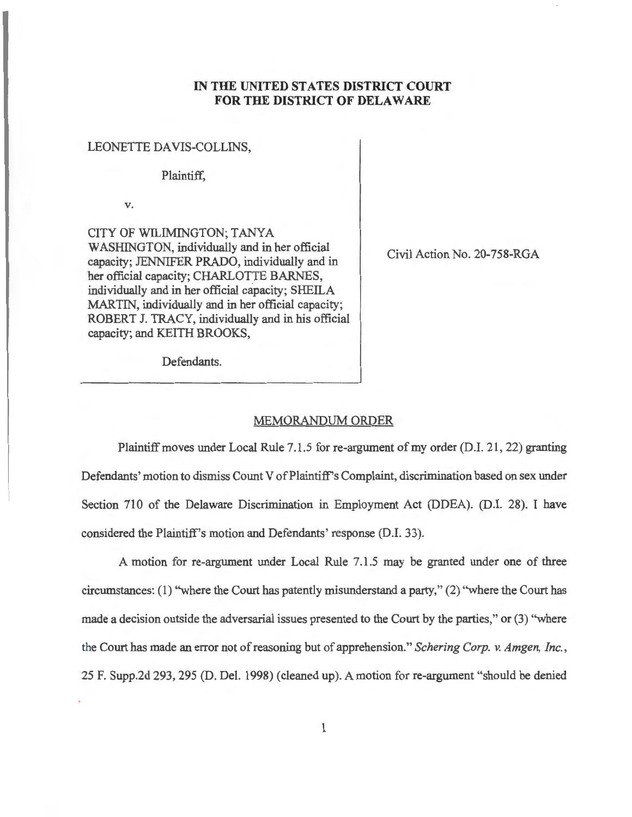## **IN THE UNITED STATES DISTRICT COURT FOR THE DISTRICT OF DELAWARE**

## LEONETTE DA VIS-COLLINS,

## Plaintiff,

**V.** 

CITY OF WILIMINGTON; TANYA WASHINGTON, individually and in her official capacity; JENNIFER PRADO, individually and in her official capacity; CHARLOTTE BARNES, individually and in her official capacity; SHEILA MARTIN, individually and in her official capacity; ROBERT J. TRACY, individually and in his official capacity; and KEITH BROOKS,

Civil Action No. 20-758-RGA

Defendants.

## MEMORANDUM ORDER

Plaintiff moves under Local Rule 7.1.5 for re-argument of my order (D.I. 21, 22) granting Defendants' motion to dismiss Count V of Plaintiff's Complaint, discrimination based on sex under Section 710 of the Delaware Discrimination in Employment Act (DDEA). (D.I. 28). I have considered the Plaintiff's motion and Defendants' response (D.I. 33).

A motion for re-argument under Local Rule 7.1.5 may be granted under one of three circumstances: (1) "where the Court has patently misunderstand a party," (2) "where the Court has made a decision outside the adversarial issues presented to the Court by the parties," or (3) "where the Court has made an error not of reasoning but of apprehension." *Schering Corp.* v. *Amgen, Inc.,*  25 F. Supp.2d 293, 295 (D. Del. 1998) (cleaned up). A motion for re-argument "should be denied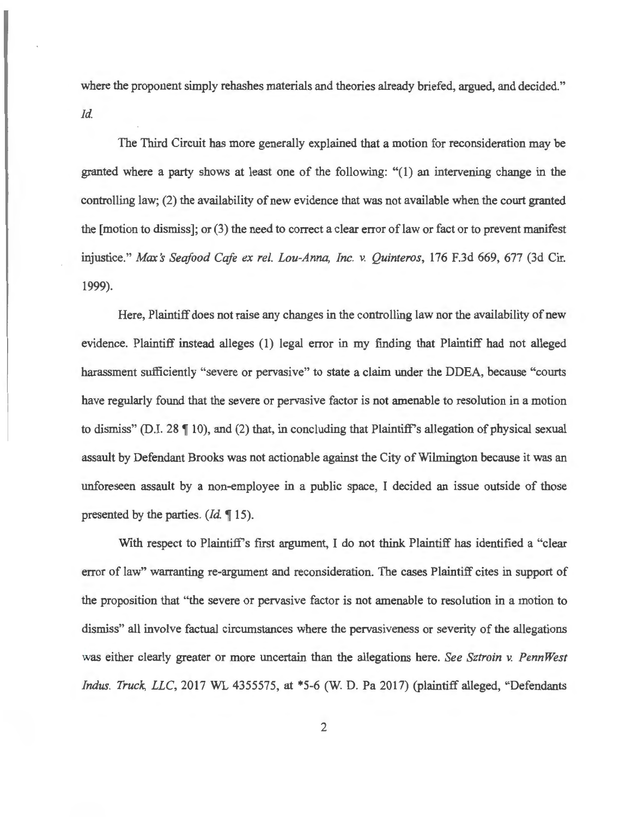where the proponent simply rehashes materials and theories already briefed, argued, and decided." *Id.* 

The Third Circuit has more generally explained that a motion for reconsideration may be granted where a party shows at least one of the following: "(1) an intervening change in the controlling law; (2) the availability of new evidence that was not available when the court granted the  $[motion to dismiss]$ ; or  $(3)$  the need to correct a clear error of law or fact or to prevent manifest injustice." *Max's Seafood Cafe ex rel. Lou-Anna, Inc. v. Quinteros,* 176 F.3d 669, 677 (3d Cir. 1999).

Here, Plaintiff does not raise any changes in the controlling law nor the availability of new evidence. Plaintiff instead alleges (1) legal error in my finding that Plaintiff had not alleged harassment sufficiently "severe or pervasive" to state a claim under the DDEA, because "courts have regularly found that the severe or pervasive factor is not amenable to resolution in a motion to dismiss" (D.I. 28  $\P$  10), and (2) that, in concluding that Plaintiff's allegation of physical sexual assault by Defendant Brooks was not actionable against the City of Wilmington because it was an unforeseen assault by a non-employee in a public space, I decided an issue outside of those presented by the parties. *(Id.* **15).** 

With respect to Plaintiff's first argument, I do not think Plaintiff has identified a "clear error of law" warranting re-argument and reconsideration. The cases Plaintiff cites in support of the proposition that "the severe or pervasive factor is not amenable to resolution in a motion to dismiss" all involve factual circumstances where the pervasiveness or severity of the allegations was either clearly greater or more uncertain than the allegations here. *See Sztroin v. PennWest Indus. Truck, LLC,* 2017 WL 4355575, at \*5-6 (W. D. Pa 2017) (plaintiff alleged, "Defendants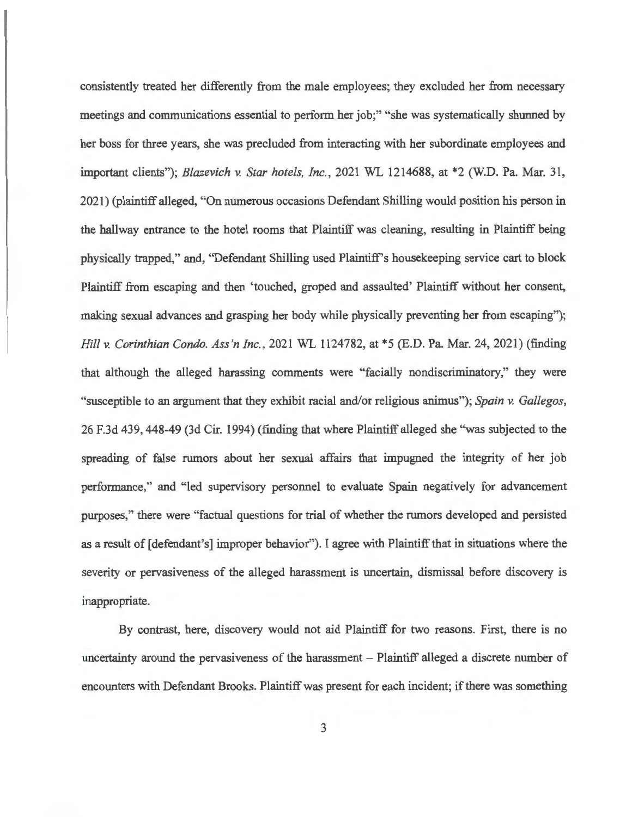consistently treated her differently from the male employees; they excluded her from necessary meetings and communications essential to perform her job;" "she was systematically shunned by her boss for three years, she was precluded from interacting with her subordinate employees and important clients"); *Blazevich v. Star hotels, Inc.,* 2021 WL 1214688, at \*2 (W.D. Pa. Mar. 31 , 2021) (plaintiff alleged, "On numerous occasions Defendant Shilling would position his person in the hallway entrance to the hotel rooms that Plaintiff was cleaning, resulting in Plaintiff being physically trapped," and, "Defendant Shilling used Plaintiff's housekeeping service cart to block Plaintiff from escaping and then 'touched, groped and assaulted' Plaintiff without her consent, making sexual advances and grasping her body while physically preventing her from escaping"); *Hill* v. *Corinthian Condo. Ass'n Inc.,* 2021 WL 1124782, at \*5 (E.D. Pa. Mar. 24, 2021) (finding that although the alleged harassing comments were "facially nondiscriminatory," they were "susceptible to an argument that they exhibit racial and/or religious animus"); *Spain v. Gallegos,*  26 F.3d 439, 448-49 (3d Cir. 1994) (finding that where Plaintiff alleged she "was subjected to the spreading of false rumors about her sexual affairs that impugned the integrity of her job performance," and "led supervisory personnel to evaluate Spain negatively for advancement purposes," there were "factual questions for trial of whether the rumors developed and persisted as a result of [defendant's] improper behavior"). I agree with Plaintiff that in situations where the severity or pervasiveness of the alleged harassment is uncertain, dismissal before discovery is inappropriate.

By contrast, here, discovery would not aid Plaintiff for two reasons. First, there is no uncertainty around the pervasiveness of the harassment – Plaintiff alleged a discrete number of encounters with Defendant Brooks. Plaintiff was present for each incident; if there was something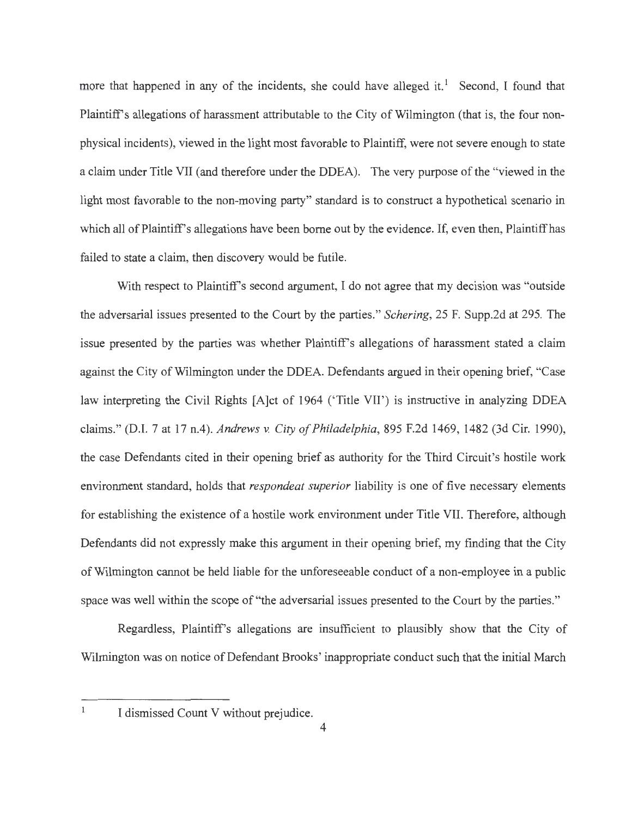more that happened in any of the incidents, she could have alleged it.<sup>1</sup> Second, I found that Plaintiff's allegations of harassment attributable to the City of Wilmington (that is, the four nonphysical incidents), viewed in the light most favorable to Plaintiff, were not severe enough to state a claim under Title VII (and therefore under the DDEA). The very purpose of the "viewed in the light most favorable to the non-moving party" standard is to construct a hypothetical scenario in which all of Plaintiff's allegations have been borne out by the evidence. If, even then, Plaintiff has failed to state a claim, then discovery would be futile.

With respect to Plaintiff's second argument, I do not agree that my decision was "outside" the adversarial issues presented to the Court by the parties." *Schering,* 25 F. Supp.2d at 295. The issue presented by the parties was whether Plaintiff's allegations of harassment stated a claim against the City of Wilmington under the DDEA. Defendants argued in their opening brief, "Case law interpreting the Civil Rights [A]ct of 1964 ('Title VII') is instructive in analyzing DDEA claims." (D.I. 7 at 17 n.4). *Andrews v. City of Philadelphia,* 895 F.2d 1469, 1482 (3d Cir. 1990), the case Defendants cited in their opening brief as authority for the Third Circuit's hostile work environment standard, holds that *respondeat superior* liability is one of five necessary elements for establishing the existence of a hostile work environment under Title VII. Therefore, although Defendants did not expressly make this argument in their opening brief, my finding that the City of Wilmington cannot be held liable for the unforeseeable conduct of a non-employee in a public space was well within the scope of "the adversarial issues presented to the Court by the parties."

Regardless, Plaintiff's allegations are insufficient to plausibly show that the City of Wilmington was on notice of Defendant Brooks' inappropriate conduct such that the initial March

 $\,1$ 

I dismissed Count V without prejudice.